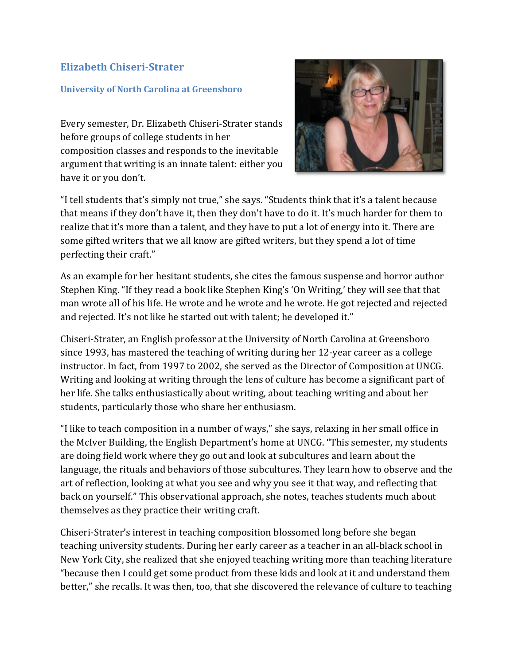## **Elizabeth Chiseri-Strater**

## **University of North Carolina at Greensboro**

Every semester, Dr. Elizabeth Chiseri-Strater stands before groups of college students in her composition classes and responds to the inevitable argument that writing is an innate talent: either you have it or you don't.



"I tell students that's simply not true," she says. "Students think that it's a talent because that means if they don't have it, then they don't have to do it. It's much harder for them to realize that it's more than a talent, and they have to put a lot of energy into it. There are some gifted writers that we all know are gifted writers, but they spend a lot of time perfecting their craft."

As an example for her hesitant students, she cites the famous suspense and horror author Stephen King. "If they read a book like Stephen King's 'On Writing,' they will see that that man wrote all of his life. He wrote and he wrote and he wrote. He got rejected and rejected and rejected. It's not like he started out with talent; he developed it."

Chiseri-Strater, an English professor at the University of North Carolina at Greensboro since 1993, has mastered the teaching of writing during her 12-year career as a college instructor. In fact, from 1997 to 2002, she served as the Director of Composition at UNCG. Writing and looking at writing through the lens of culture has become a significant part of her life. She talks enthusiastically about writing, about teaching writing and about her students, particularly those who share her enthusiasm.

"I like to teach composition in a number of ways," she says, relaxing in her small office in the McIver Building, the English Department's home at UNCG. "This semester, my students are doing field work where they go out and look at subcultures and learn about the language, the rituals and behaviors of those subcultures. They learn how to observe and the art of reflection, looking at what you see and why you see it that way, and reflecting that back on yourself." This observational approach, she notes, teaches students much about themselves as they practice their writing craft.

Chiseri-Strater's interest in teaching composition blossomed long before she began teaching university students. During her early career as a teacher in an all-black school in New York City, she realized that she enjoyed teaching writing more than teaching literature "because then I could get some product from these kids and look at it and understand them better," she recalls. It was then, too, that she discovered the relevance of culture to teaching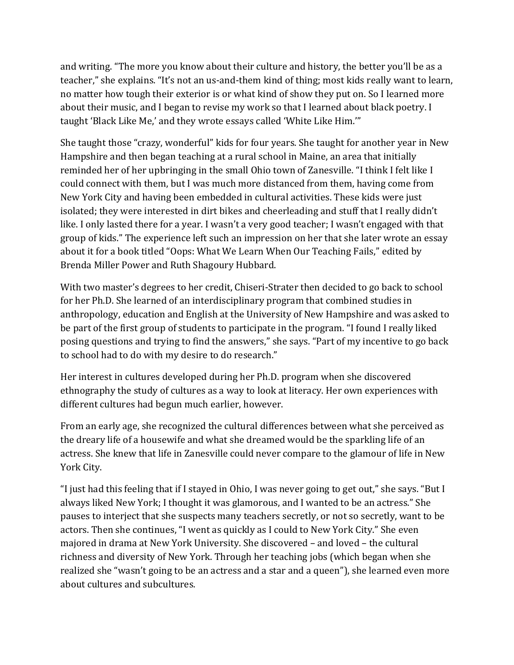and writing. "The more you know about their culture and history, the better you'll be as a teacher," she explains. "It's not an us-and-them kind of thing; most kids really want to learn, no matter how tough their exterior is or what kind of show they put on. So I learned more about their music, and I began to revise my work so that I learned about black poetry. I taught 'Black Like Me,' and they wrote essays called 'White Like Him.'"

She taught those "crazy, wonderful" kids for four years. She taught for another year in New Hampshire and then began teaching at a rural school in Maine, an area that initially reminded her of her upbringing in the small Ohio town of Zanesville. "I think I felt like I could connect with them, but I was much more distanced from them, having come from New York City and having been embedded in cultural activities. These kids were just isolated; they were interested in dirt bikes and cheerleading and stuff that I really didn't like. I only lasted there for a year. I wasn't a very good teacher; I wasn't engaged with that group of kids." The experience left such an impression on her that she later wrote an essay about it for a book titled "Oops: What We Learn When Our Teaching Fails," edited by Brenda Miller Power and Ruth Shagoury Hubbard.

With two master's degrees to her credit, Chiseri-Strater then decided to go back to school for her Ph.D. She learned of an interdisciplinary program that combined studies in anthropology, education and English at the University of New Hampshire and was asked to be part of the first group of students to participate in the program. "I found I really liked posing questions and trying to find the answers," she says. "Part of my incentive to go back to school had to do with my desire to do research."

Her interest in cultures developed during her Ph.D. program when she discovered ethnography the study of cultures as a way to look at literacy. Her own experiences with different cultures had begun much earlier, however.

From an early age, she recognized the cultural differences between what she perceived as the dreary life of a housewife and what she dreamed would be the sparkling life of an actress. She knew that life in Zanesville could never compare to the glamour of life in New York City.

"I just had this feeling that if I stayed in Ohio, I was never going to get out," she says. "But I always liked New York; I thought it was glamorous, and I wanted to be an actress." She pauses to interject that she suspects many teachers secretly, or not so secretly, want to be actors. Then she continues, "I went as quickly as I could to New York City." She even majored in drama at New York University. She discovered – and loved – the cultural richness and diversity of New York. Through her teaching jobs (which began when she realized she "wasn't going to be an actress and a star and a queen"), she learned even more about cultures and subcultures.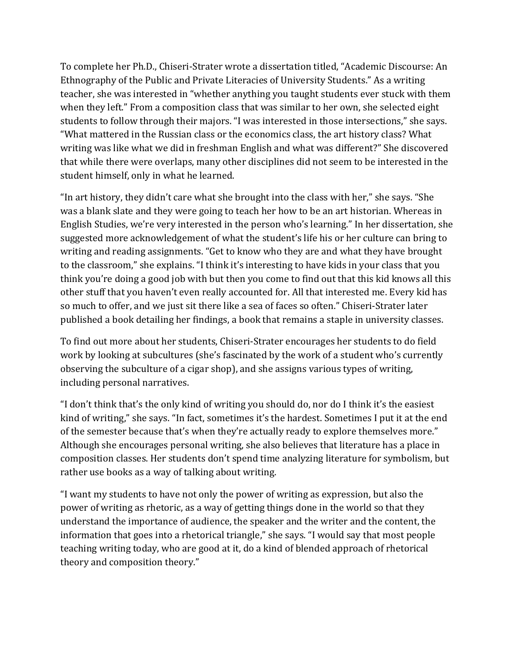To complete her Ph.D., Chiseri-Strater wrote a dissertation titled, "Academic Discourse: An Ethnography of the Public and Private Literacies of University Students." As a writing teacher, she was interested in "whether anything you taught students ever stuck with them when they left." From a composition class that was similar to her own, she selected eight students to follow through their majors. "I was interested in those intersections," she says. "What mattered in the Russian class or the economics class, the art history class? What writing was like what we did in freshman English and what was different?" She discovered that while there were overlaps, many other disciplines did not seem to be interested in the student himself, only in what he learned.

"In art history, they didn't care what she brought into the class with her," she says. "She was a blank slate and they were going to teach her how to be an art historian. Whereas in English Studies, we're very interested in the person who's learning." In her dissertation, she suggested more acknowledgement of what the student's life his or her culture can bring to writing and reading assignments. "Get to know who they are and what they have brought to the classroom," she explains. "I think it's interesting to have kids in your class that you think you're doing a good job with but then you come to find out that this kid knows all this other stuff that you haven't even really accounted for. All that interested me. Every kid has so much to offer, and we just sit there like a sea of faces so often." Chiseri-Strater later published a book detailing her findings, a book that remains a staple in university classes.

To find out more about her students, Chiseri-Strater encourages her students to do field work by looking at subcultures (she's fascinated by the work of a student who's currently observing the subculture of a cigar shop), and she assigns various types of writing, including personal narratives.

"I don't think that's the only kind of writing you should do, nor do I think it's the easiest kind of writing," she says. "In fact, sometimes it's the hardest. Sometimes I put it at the end of the semester because that's when they're actually ready to explore themselves more." Although she encourages personal writing, she also believes that literature has a place in composition classes. Her students don't spend time analyzing literature for symbolism, but rather use books as a way of talking about writing.

"I want my students to have not only the power of writing as expression, but also the power of writing as rhetoric, as a way of getting things done in the world so that they understand the importance of audience, the speaker and the writer and the content, the information that goes into a rhetorical triangle," she says. "I would say that most people teaching writing today, who are good at it, do a kind of blended approach of rhetorical theory and composition theory."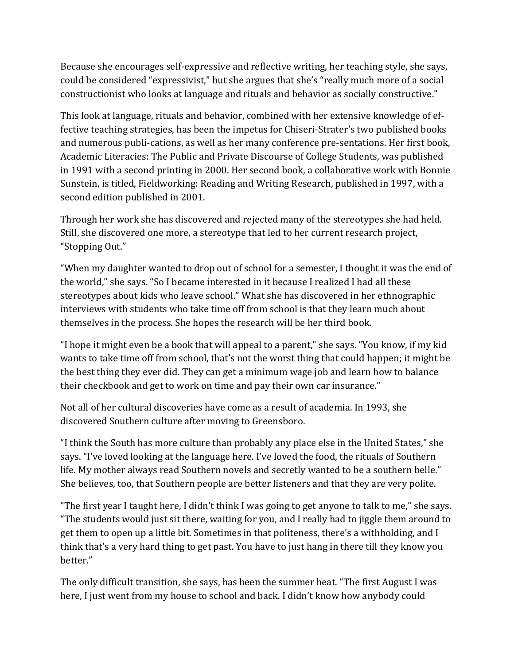Because she encourages self-expressive and reflective writing, her teaching style, she says, could be considered "expressivist," but she argues that she's "really much more of a social constructionist who looks at language and rituals and behavior as socially constructive."

This look at language, rituals and behavior, combined with her extensive knowledge of effective teaching strategies, has been the impetus for Chiseri-Strater's two published books and numerous publi-cations, as well as her many conference pre-sentations. Her first book, Academic Literacies: The Public and Private Discourse of College Students, was published in 1991 with a second printing in 2000. Her second book, a collaborative work with Bonnie Sunstein, is titled, Fieldworking: Reading and Writing Research, published in 1997, with a second edition published in 2001.

Through her work she has discovered and rejected many of the stereotypes she had held. Still, she discovered one more, a stereotype that led to her current research project, "Stopping Out."

"When my daughter wanted to drop out of school for a semester, I thought it was the end of the world," she says. "So I became interested in it because I realized I had all these stereotypes about kids who leave school." What she has discovered in her ethnographic interviews with students who take time off from school is that they learn much about themselves in the process. She hopes the research will be her third book.

"I hope it might even be a book that will appeal to a parent," she says. "You know, if my kid wants to take time off from school, that's not the worst thing that could happen; it might be the best thing they ever did. They can get a minimum wage job and learn how to balance their checkbook and get to work on time and pay their own car insurance."

Not all of her cultural discoveries have come as a result of academia. In 1993, she discovered Southern culture after moving to Greensboro.

"I think the South has more culture than probably any place else in the United States," she says. "I've loved looking at the language here. I've loved the food, the rituals of Southern life. My mother always read Southern novels and secretly wanted to be a southern belle." She believes, too, that Southern people are better listeners and that they are very polite.

"The first year I taught here, I didn't think I was going to get anyone to talk to me," she says. "The students would just sit there, waiting for you, and I really had to jiggle them around to get them to open up a little bit. Sometimes in that politeness, there's a withholding, and I think that's a very hard thing to get past. You have to just hang in there till they know you better."

The only difficult transition, she says, has been the summer heat. "The first August I was here, I just went from my house to school and back. I didn't know how anybody could